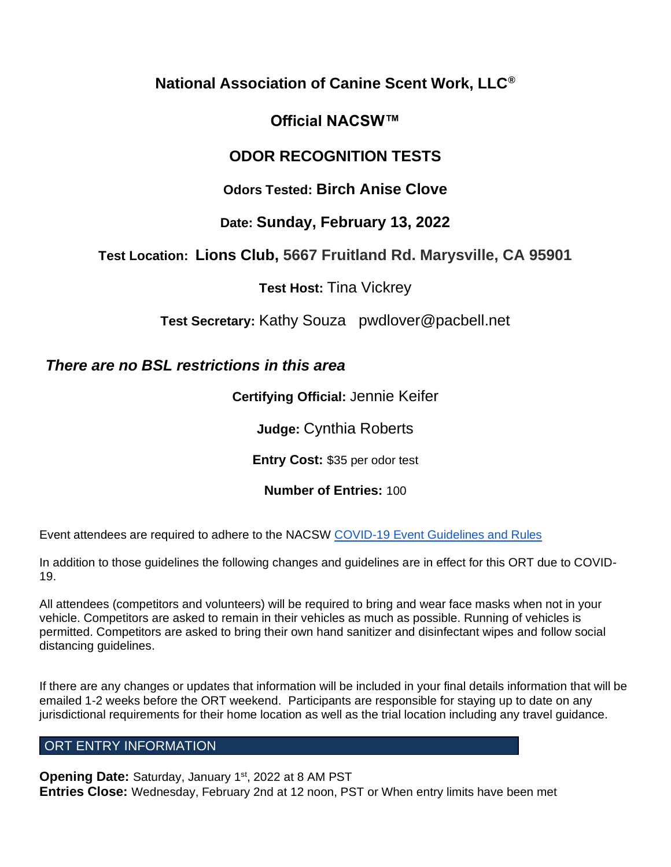# **National Association of Canine Scent Work, LLC®**

# **Official NACSW™**

# **ODOR RECOGNITION TESTS**

# **Odors Tested: Birch Anise Clove**

# **Date: Sunday, February 13, 2022**

# **Test Location: Lions Club, 5667 Fruitland Rd. Marysville, CA 95901**

**Test Host:** Tina Vickrey

**Test Secretary:** Kathy Souza pwdlover@pacbell.net

# *There are no BSL restrictions in this area*

**Certifying Official:** Jennie Keifer

**Judge:** Cynthia Roberts

**Entry Cost:** \$35 per odor test

# **Number of Entries:** 100

Event attendees are required to adhere to the NACSW [COVID-19 Event Guidelines and Rules](https://drive.google.com/open?id=1pMMICXeMDJV2iFxAFOuPAMXEBoRmaik0qzSE4tiZuSI)

In addition to those guidelines the following changes and guidelines are in effect for this ORT due to COVID-19.

All attendees (competitors and volunteers) will be required to bring and wear face masks when not in your vehicle. Competitors are asked to remain in their vehicles as much as possible. Running of vehicles is permitted. Competitors are asked to bring their own hand sanitizer and disinfectant wipes and follow social distancing guidelines.

If there are any changes or updates that information will be included in your final details information that will be emailed 1-2 weeks before the ORT weekend. Participants are responsible for staying up to date on any jurisdictional requirements for their home location as well as the trial location including any travel guidance.

# ORT ENTRY INFORMATION

Opening Date: Saturday, January 1<sup>st</sup>, 2022 at 8 AM PST **Entries Close:** Wednesday, February 2nd at 12 noon, PST or When entry limits have been met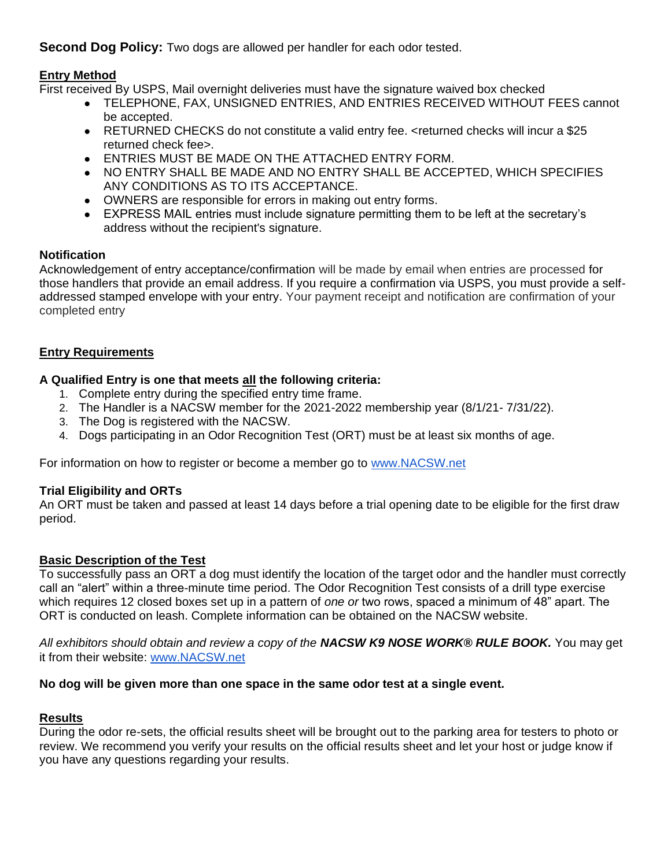**Second Dog Policy:** Two dogs are allowed per handler for each odor tested.

# **Entry Method**

First received By USPS, Mail overnight deliveries must have the signature waived box checked

- TELEPHONE, FAX, UNSIGNED ENTRIES, AND ENTRIES RECEIVED WITHOUT FEES cannot be accepted.
- RETURNED CHECKS do not constitute a valid entry fee. <returned checks will incur a \$25 returned check fee>.
- **ENTRIES MUST BE MADE ON THE ATTACHED ENTRY FORM.**
- NO ENTRY SHALL BE MADE AND NO ENTRY SHALL BE ACCEPTED. WHICH SPECIFIES ANY CONDITIONS AS TO ITS ACCEPTANCE.
- OWNERS are responsible for errors in making out entry forms.
- EXPRESS MAIL entries must include signature permitting them to be left at the secretary's address without the recipient's signature.

# **Notification**

Acknowledgement of entry acceptance/confirmation will be made by email when entries are processed for those handlers that provide an email address. If you require a confirmation via USPS, you must provide a selfaddressed stamped envelope with your entry. Your payment receipt and notification are confirmation of your completed entry

# **Entry Requirements**

# **A Qualified Entry is one that meets all the following criteria:**

- 1. Complete entry during the specified entry time frame.
- 2. The Handler is a NACSW member for the 2021-2022 membership year (8/1/21- 7/31/22).
- 3. The Dog is registered with the NACSW.
- 4. Dogs participating in an Odor Recognition Test (ORT) must be at least six months of age.

For information on how to register or become a member go t[o](http://www.nacsw.net/) [www.NACSW.net](http://www.nacsw.net/)

# **Trial Eligibility and ORTs**

An ORT must be taken and passed at least 14 days before a trial opening date to be eligible for the first draw period.

# **Basic Description of the Test**

To successfully pass an ORT a dog must identify the location of the target odor and the handler must correctly call an "alert" within a three-minute time period. The Odor Recognition Test consists of a drill type exercise which requires 12 closed boxes set up in a pattern of *one or* two rows, spaced a minimum of 48" apart. The ORT is conducted on leash. Complete information can be obtained on the NACSW website.

*All exhibitors should obtain and review a copy of the NACSW K9 NOSE WORK® RULE BOOK.* You may get it from their website: [www.NACSW.net](http://www.nacsw.net/)

## **No dog will be given more than one space in the same odor test at a single event.**

## **Results**

During the odor re-sets, the official results sheet will be brought out to the parking area for testers to photo or review. We recommend you verify your results on the official results sheet and let your host or judge know if you have any questions regarding your results.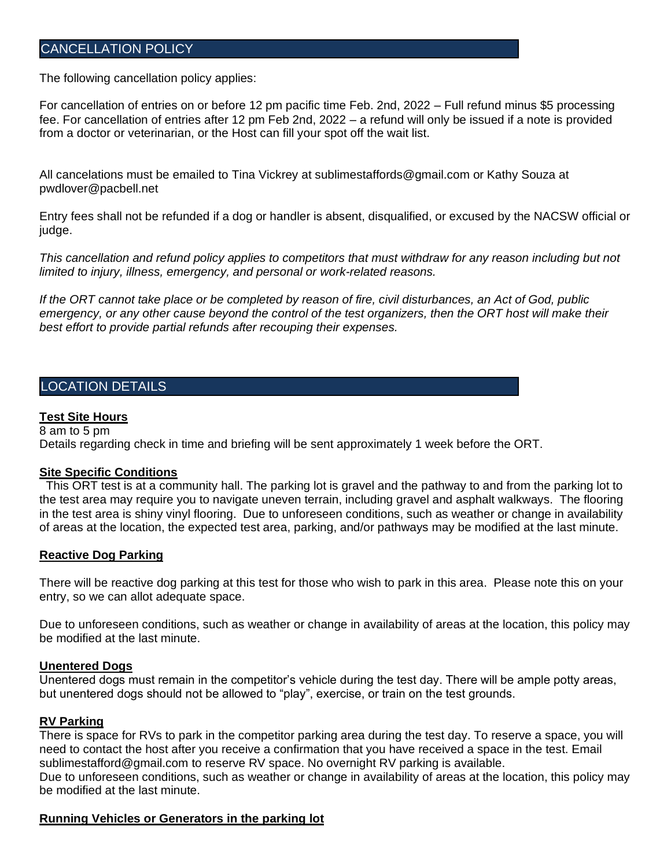# CANCELLATION POLICY

The following cancellation policy applies:

For cancellation of entries on or before 12 pm pacific time Feb. 2nd, 2022 – Full refund minus \$5 processing fee. For cancellation of entries after 12 pm Feb 2nd, 2022 – a refund will only be issued if a note is provided from a doctor or veterinarian, or the Host can fill your spot off the wait list.

All cancelations must be emailed to Tina Vickrey at sublimestaffords@gmail.com or Kathy Souza at pwdlover@pacbell.net

Entry fees shall not be refunded if a dog or handler is absent, disqualified, or excused by the NACSW official or judge.

This cancellation and refund policy applies to competitors that must withdraw for any reason including but not *limited to injury, illness, emergency, and personal or work-related reasons.*

*If the ORT cannot take place or be completed by reason of fire, civil disturbances, an Act of God, public emergency, or any other cause beyond the control of the test organizers, then the ORT host will make their best effort to provide partial refunds after recouping their expenses.*

# LOCATION DETAILS

#### **Test Site Hours**

8 am to 5 pm Details regarding check in time and briefing will be sent approximately 1 week before the ORT.

#### **Site Specific Conditions**

 This ORT test is at a community hall. The parking lot is gravel and the pathway to and from the parking lot to the test area may require you to navigate uneven terrain, including gravel and asphalt walkways. The flooring in the test area is shiny vinyl flooring. Due to unforeseen conditions, such as weather or change in availability of areas at the location, the expected test area, parking, and/or pathways may be modified at the last minute.

#### **Reactive Dog Parking**

There will be reactive dog parking at this test for those who wish to park in this area. Please note this on your entry, so we can allot adequate space.

Due to unforeseen conditions, such as weather or change in availability of areas at the location, this policy may be modified at the last minute.

#### **Unentered Dogs**

Unentered dogs must remain in the competitor's vehicle during the test day. There will be ample potty areas, but unentered dogs should not be allowed to "play", exercise, or train on the test grounds.

#### **RV Parking**

There is space for RVs to park in the competitor parking area during the test day. To reserve a space, you will need to contact the host after you receive a confirmation that you have received a space in the test. Email sublimestafford@gmail.com to reserve RV space. No overnight RV parking is available. Due to unforeseen conditions, such as weather or change in availability of areas at the location, this policy may be modified at the last minute.

#### **Running Vehicles or Generators in the parking lot**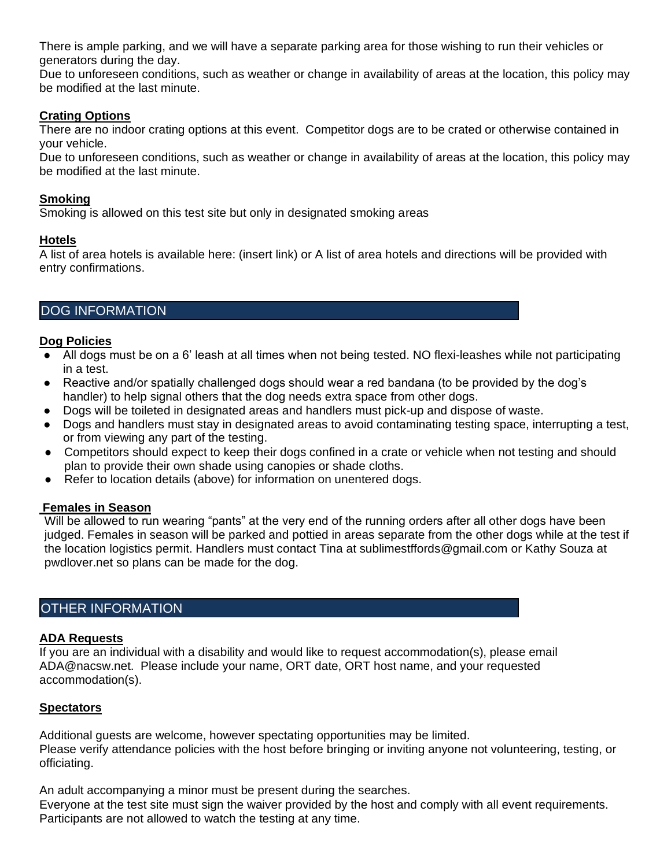There is ample parking, and we will have a separate parking area for those wishing to run their vehicles or generators during the day.

Due to unforeseen conditions, such as weather or change in availability of areas at the location, this policy may be modified at the last minute.

## **Crating Options**

There are no indoor crating options at this event. Competitor dogs are to be crated or otherwise contained in your vehicle.

Due to unforeseen conditions, such as weather or change in availability of areas at the location, this policy may be modified at the last minute.

## **Smoking**

Smoking is allowed on this test site but only in designated smoking areas

# **Hotels**

A list of area hotels is available here: (insert link) or A list of area hotels and directions will be provided with entry confirmations.

# DOG INFORMATION

## **Dog Policies**

- All dogs must be on a 6' leash at all times when not being tested. NO flexi-leashes while not participating in a test.
- Reactive and/or spatially challenged dogs should wear a red bandana (to be provided by the dog's handler) to help signal others that the dog needs extra space from other dogs.
- Dogs will be toileted in designated areas and handlers must pick-up and dispose of waste.
- Dogs and handlers must stay in designated areas to avoid contaminating testing space, interrupting a test, or from viewing any part of the testing.
- Competitors should expect to keep their dogs confined in a crate or vehicle when not testing and should plan to provide their own shade using canopies or shade cloths.
- Refer to location details (above) for information on unentered dogs.

## **Females in Season**

Will be allowed to run wearing "pants" at the very end of the running orders after all other dogs have been judged. Females in season will be parked and pottied in areas separate from the other dogs while at the test if the location logistics permit. Handlers must contact Tina at sublimestffords@gmail.com or Kathy Souza at pwdlover.net so plans can be made for the dog.

# OTHER INFORMATION

## **ADA Requests**

If you are an individual with a disability and would like to request accommodation(s), please email ADA@nacsw.net. Please include your name, ORT date, ORT host name, and your requested accommodation(s).

# **Spectators**

Additional guests are welcome, however spectating opportunities may be limited. Please verify attendance policies with the host before bringing or inviting anyone not volunteering, testing, or officiating.

An adult accompanying a minor must be present during the searches. Everyone at the test site must sign the waiver provided by the host and comply with all event requirements. Participants are not allowed to watch the testing at any time.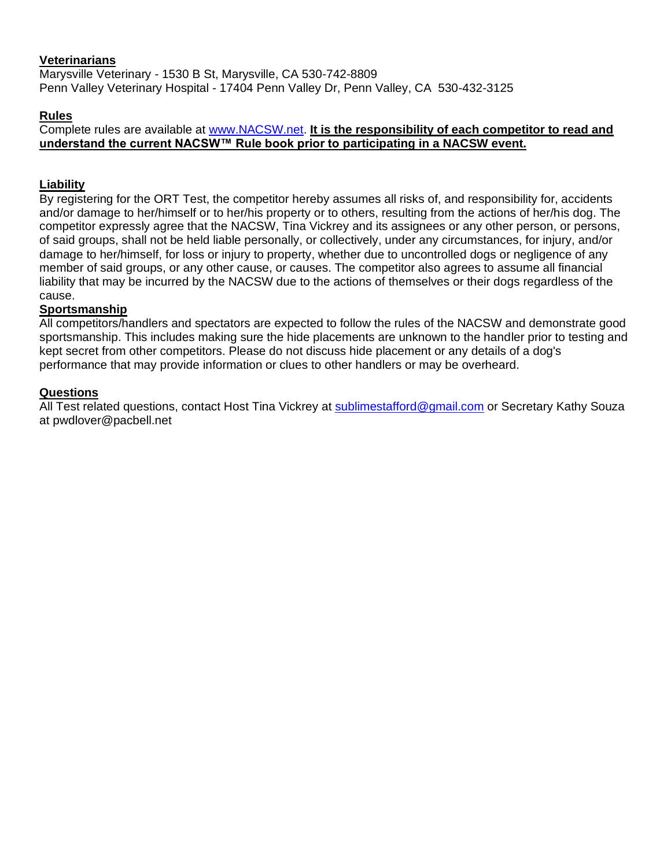# **Veterinarians**

Marysville Veterinary - 1530 B St, Marysville, CA 530-742-8809 Penn Valley Veterinary Hospital - 17404 Penn Valley Dr, Penn Valley, CA 530-432-3125

## **Rules**

Complete rules are available at [www.NACSW.net.](http://www.nacsw.net/) **It is the responsibility of each competitor to read and understand the current NACSW™ Rule book prior to participating in a NACSW event.**

# **Liability**

By registering for the ORT Test, the competitor hereby assumes all risks of, and responsibility for, accidents and/or damage to her/himself or to her/his property or to others, resulting from the actions of her/his dog. The competitor expressly agree that the NACSW, Tina Vickrey and its assignees or any other person, or persons, of said groups, shall not be held liable personally, or collectively, under any circumstances, for injury, and/or damage to her/himself, for loss or injury to property, whether due to uncontrolled dogs or negligence of any member of said groups, or any other cause, or causes. The competitor also agrees to assume all financial liability that may be incurred by the NACSW due to the actions of themselves or their dogs regardless of the cause.

## **Sportsmanship**

All competitors/handlers and spectators are expected to follow the rules of the NACSW and demonstrate good sportsmanship. This includes making sure the hide placements are unknown to the handler prior to testing and kept secret from other competitors. Please do not discuss hide placement or any details of a dog's performance that may provide information or clues to other handlers or may be overheard.

## **Questions**

All Test related questions, contact Host Tina Vickrey at [sublimestafford@gmail.com](mailto:sublimestafford@gmail.com) or Secretary Kathy Souza at pwdlover@pacbell.net